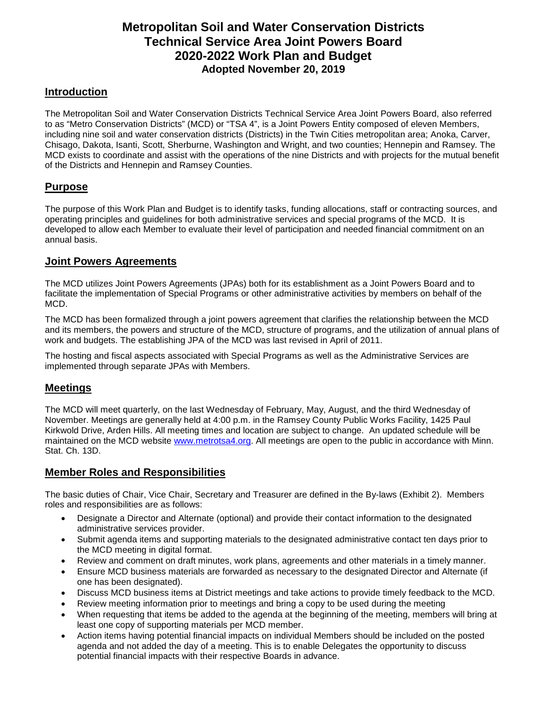# **Metropolitan Soil and Water Conservation Districts Technical Service Area Joint Powers Board 2020-2022 Work Plan and Budget Adopted November 20, 2019**

# **Introduction**

The Metropolitan Soil and Water Conservation Districts Technical Service Area Joint Powers Board, also referred to as "Metro Conservation Districts" (MCD) or "TSA 4", is a Joint Powers Entity composed of eleven Members, including nine soil and water conservation districts (Districts) in the Twin Cities metropolitan area; Anoka, Carver, Chisago, Dakota, Isanti, Scott, Sherburne, Washington and Wright, and two counties; Hennepin and Ramsey. The MCD exists to coordinate and assist with the operations of the nine Districts and with projects for the mutual benefit of the Districts and Hennepin and Ramsey Counties.

# **Purpose**

The purpose of this Work Plan and Budget is to identify tasks, funding allocations, staff or contracting sources, and operating principles and guidelines for both administrative services and special programs of the MCD. It is developed to allow each Member to evaluate their level of participation and needed financial commitment on an annual basis.

# **Joint Powers Agreements**

The MCD utilizes Joint Powers Agreements (JPAs) both for its establishment as a Joint Powers Board and to facilitate the implementation of Special Programs or other administrative activities by members on behalf of the MCD.

The MCD has been formalized through a joint powers agreement that clarifies the relationship between the MCD and its members, the powers and structure of the MCD, structure of programs, and the utilization of annual plans of work and budgets. The establishing JPA of the MCD was last revised in April of 2011.

The hosting and fiscal aspects associated with Special Programs as well as the Administrative Services are implemented through separate JPAs with Members.

# **Meetings**

The MCD will meet quarterly, on the last Wednesday of February, May, August, and the third Wednesday of November. Meetings are generally held at 4:00 p.m. in the Ramsey County Public Works Facility, 1425 Paul Kirkwold Drive, Arden Hills. All meeting times and location are subject to change. An updated schedule will be maintained on the MCD website www.metrotsa4.org. All meetings are open to the public in accordance with Minn. Stat. Ch. 13D.

# **Member Roles and Responsibilities**

The basic duties of Chair, Vice Chair, Secretary and Treasurer are defined in the By-laws (Exhibit 2). Members roles and responsibilities are as follows:

- Designate a Director and Alternate (optional) and provide their contact information to the designated administrative services provider.
- Submit agenda items and supporting materials to the designated administrative contact ten days prior to the MCD meeting in digital format.
- Review and comment on draft minutes, work plans, agreements and other materials in a timely manner.
- Ensure MCD business materials are forwarded as necessary to the designated Director and Alternate (if one has been designated).
- Discuss MCD business items at District meetings and take actions to provide timely feedback to the MCD.
- Review meeting information prior to meetings and bring a copy to be used during the meeting
- When requesting that items be added to the agenda at the beginning of the meeting, members will bring at least one copy of supporting materials per MCD member.
- Action items having potential financial impacts on individual Members should be included on the posted agenda and not added the day of a meeting. This is to enable Delegates the opportunity to discuss potential financial impacts with their respective Boards in advance.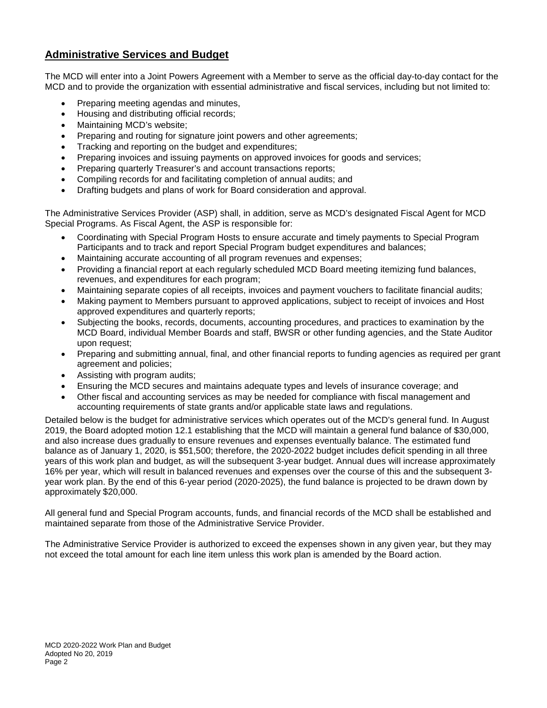# **Administrative Services and Budget**

The MCD will enter into a Joint Powers Agreement with a Member to serve as the official day-to-day contact for the MCD and to provide the organization with essential administrative and fiscal services, including but not limited to:

- Preparing meeting agendas and minutes,
- Housing and distributing official records;
- Maintaining MCD's website;
- Preparing and routing for signature joint powers and other agreements;
- Tracking and reporting on the budget and expenditures;
- Preparing invoices and issuing payments on approved invoices for goods and services;
- Preparing quarterly Treasurer's and account transactions reports;
- Compiling records for and facilitating completion of annual audits; and
- Drafting budgets and plans of work for Board consideration and approval.

The Administrative Services Provider (ASP) shall, in addition, serve as MCD's designated Fiscal Agent for MCD Special Programs. As Fiscal Agent, the ASP is responsible for:

- Coordinating with Special Program Hosts to ensure accurate and timely payments to Special Program Participants and to track and report Special Program budget expenditures and balances;
- Maintaining accurate accounting of all program revenues and expenses;
- Providing a financial report at each regularly scheduled MCD Board meeting itemizing fund balances, revenues, and expenditures for each program;
- Maintaining separate copies of all receipts, invoices and payment vouchers to facilitate financial audits;
- Making payment to Members pursuant to approved applications, subject to receipt of invoices and Host approved expenditures and quarterly reports;
- Subjecting the books, records, documents, accounting procedures, and practices to examination by the MCD Board, individual Member Boards and staff, BWSR or other funding agencies, and the State Auditor upon request;
- Preparing and submitting annual, final, and other financial reports to funding agencies as required per grant agreement and policies;
- Assisting with program audits;
- Ensuring the MCD secures and maintains adequate types and levels of insurance coverage; and
- Other fiscal and accounting services as may be needed for compliance with fiscal management and accounting requirements of state grants and/or applicable state laws and regulations.

Detailed below is the budget for administrative services which operates out of the MCD's general fund. In August 2019, the Board adopted motion 12.1 establishing that the MCD will maintain a general fund balance of \$30,000, and also increase dues gradually to ensure revenues and expenses eventually balance. The estimated fund balance as of January 1, 2020, is \$51,500; therefore, the 2020-2022 budget includes deficit spending in all three years of this work plan and budget, as will the subsequent 3-year budget. Annual dues will increase approximately 16% per year, which will result in balanced revenues and expenses over the course of this and the subsequent 3 year work plan. By the end of this 6-year period (2020-2025), the fund balance is projected to be drawn down by approximately \$20,000.

All general fund and Special Program accounts, funds, and financial records of the MCD shall be established and maintained separate from those of the Administrative Service Provider.

The Administrative Service Provider is authorized to exceed the expenses shown in any given year, but they may not exceed the total amount for each line item unless this work plan is amended by the Board action.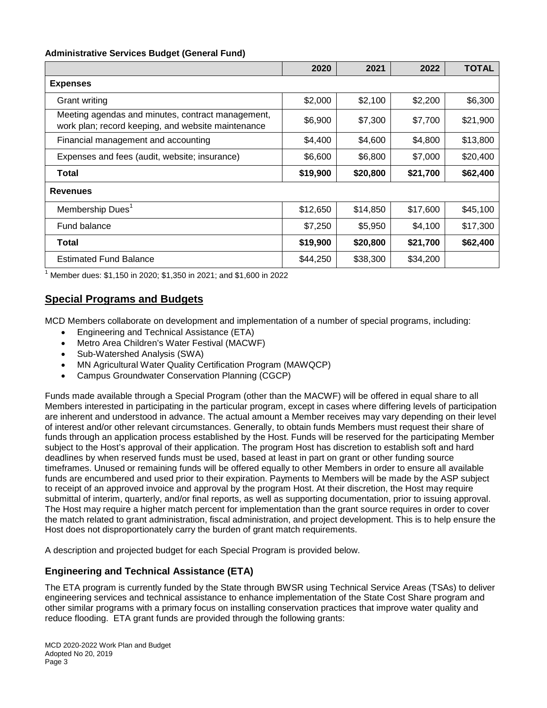#### **Administrative Services Budget (General Fund)**

|                                                                                                         | 2020     | 2021     | 2022     | <b>TOTAL</b> |
|---------------------------------------------------------------------------------------------------------|----------|----------|----------|--------------|
| <b>Expenses</b>                                                                                         |          |          |          |              |
| <b>Grant writing</b>                                                                                    | \$2,000  | \$2,100  | \$2,200  | \$6,300      |
| Meeting agendas and minutes, contract management,<br>work plan; record keeping, and website maintenance | \$6,900  | \$7,300  | \$7,700  | \$21,900     |
| Financial management and accounting                                                                     | \$4,400  | \$4,600  | \$4,800  | \$13,800     |
| Expenses and fees (audit, website; insurance)                                                           | \$6,600  | \$6,800  | \$7,000  | \$20,400     |
| Total                                                                                                   | \$19,900 | \$20,800 | \$21,700 | \$62,400     |
| <b>Revenues</b>                                                                                         |          |          |          |              |
| Membership Dues <sup>1</sup>                                                                            | \$12,650 | \$14,850 | \$17,600 | \$45,100     |
| Fund balance                                                                                            | \$7,250  | \$5,950  | \$4,100  | \$17,300     |
| <b>Total</b>                                                                                            | \$19,900 | \$20,800 | \$21,700 | \$62,400     |
| <b>Estimated Fund Balance</b>                                                                           | \$44,250 | \$38,300 | \$34,200 |              |

1 Member dues: \$1,150 in 2020; \$1,350 in 2021; and \$1,600 in 2022

## **Special Programs and Budgets**

MCD Members collaborate on development and implementation of a number of special programs, including:

- Engineering and Technical Assistance (ETA)
- Metro Area Children's Water Festival (MACWF)
- Sub-Watershed Analysis (SWA)
- MN Agricultural Water Quality Certification Program (MAWQCP)
- Campus Groundwater Conservation Planning (CGCP)

Funds made available through a Special Program (other than the MACWF) will be offered in equal share to all Members interested in participating in the particular program, except in cases where differing levels of participation are inherent and understood in advance. The actual amount a Member receives may vary depending on their level of interest and/or other relevant circumstances. Generally, to obtain funds Members must request their share of funds through an application process established by the Host. Funds will be reserved for the participating Member subject to the Host's approval of their application. The program Host has discretion to establish soft and hard deadlines by when reserved funds must be used, based at least in part on grant or other funding source timeframes. Unused or remaining funds will be offered equally to other Members in order to ensure all available funds are encumbered and used prior to their expiration. Payments to Members will be made by the ASP subject to receipt of an approved invoice and approval by the program Host. At their discretion, the Host may require submittal of interim, quarterly, and/or final reports, as well as supporting documentation, prior to issuing approval. The Host may require a higher match percent for implementation than the grant source requires in order to cover the match related to grant administration, fiscal administration, and project development. This is to help ensure the Host does not disproportionately carry the burden of grant match requirements.

A description and projected budget for each Special Program is provided below.

#### **Engineering and Technical Assistance (ETA)**

The ETA program is currently funded by the State through BWSR using Technical Service Areas (TSAs) to deliver engineering services and technical assistance to enhance implementation of the State Cost Share program and other similar programs with a primary focus on installing conservation practices that improve water quality and reduce flooding. ETA grant funds are provided through the following grants: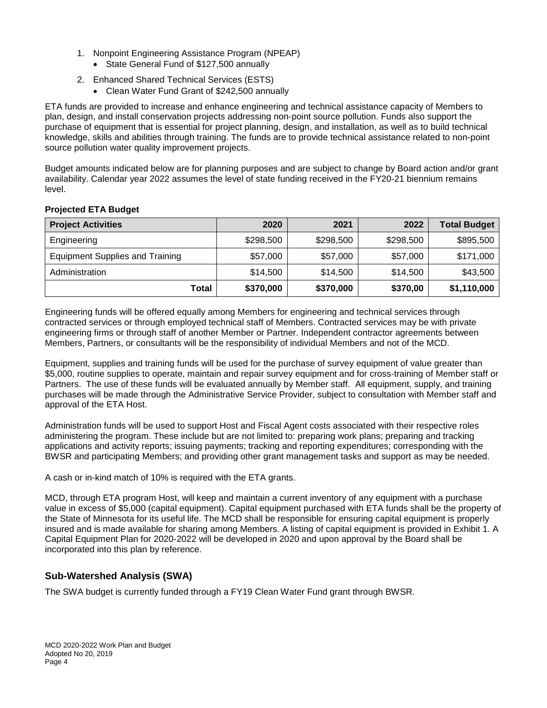- 1. Nonpoint Engineering Assistance Program (NPEAP)
	- State General Fund of \$127,500 annually
- 2. Enhanced Shared Technical Services (ESTS)
	- Clean Water Fund Grant of \$242,500 annually

ETA funds are provided to increase and enhance engineering and technical assistance capacity of Members to plan, design, and install conservation projects addressing non-point source pollution. Funds also support the purchase of equipment that is essential for project planning, design, and installation, as well as to build technical knowledge, skills and abilities through training. The funds are to provide technical assistance related to non-point source pollution water quality improvement projects.

Budget amounts indicated below are for planning purposes and are subject to change by Board action and/or grant availability. Calendar year 2022 assumes the level of state funding received in the FY20-21 biennium remains level.

| <b>Project Activities</b>              | 2020      | 2021      | 2022      | <b>Total Budget</b> |
|----------------------------------------|-----------|-----------|-----------|---------------------|
| Engineering                            | \$298,500 | \$298,500 | \$298,500 | \$895,500           |
| <b>Equipment Supplies and Training</b> | \$57,000  | \$57,000  | \$57,000  | \$171,000           |
| Administration                         | \$14,500  | \$14,500  | \$14,500  | \$43,500            |
| Total                                  | \$370,000 | \$370,000 | \$370,00  | \$1,110,000         |

#### **Projected ETA Budget**

Engineering funds will be offered equally among Members for engineering and technical services through contracted services or through employed technical staff of Members. Contracted services may be with private engineering firms or through staff of another Member or Partner. Independent contractor agreements between Members, Partners, or consultants will be the responsibility of individual Members and not of the MCD.

Equipment, supplies and training funds will be used for the purchase of survey equipment of value greater than \$5,000, routine supplies to operate, maintain and repair survey equipment and for cross-training of Member staff or Partners. The use of these funds will be evaluated annually by Member staff. All equipment, supply, and training purchases will be made through the Administrative Service Provider, subject to consultation with Member staff and approval of the ETA Host.

Administration funds will be used to support Host and Fiscal Agent costs associated with their respective roles administering the program. These include but are not limited to: preparing work plans; preparing and tracking applications and activity reports; issuing payments; tracking and reporting expenditures; corresponding with the BWSR and participating Members; and providing other grant management tasks and support as may be needed.

A cash or in-kind match of 10% is required with the ETA grants.

MCD, through ETA program Host, will keep and maintain a current inventory of any equipment with a purchase value in excess of \$5,000 (capital equipment). Capital equipment purchased with ETA funds shall be the property of the State of Minnesota for its useful life. The MCD shall be responsible for ensuring capital equipment is properly insured and is made available for sharing among Members. A listing of capital equipment is provided in Exhibit 1. A Capital Equipment Plan for 2020-2022 will be developed in 2020 and upon approval by the Board shall be incorporated into this plan by reference.

# **Sub-Watershed Analysis (SWA)**

The SWA budget is currently funded through a FY19 Clean Water Fund grant through BWSR.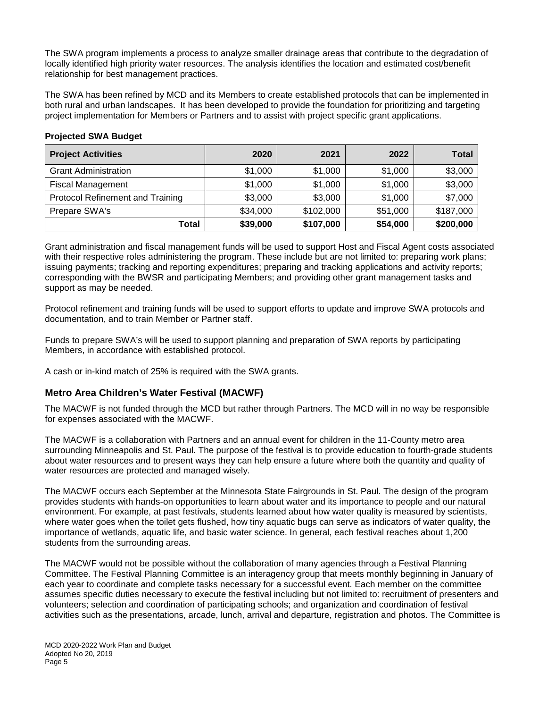The SWA program implements a process to analyze smaller drainage areas that contribute to the degradation of locally identified high priority water resources. The analysis identifies the location and estimated cost/benefit relationship for best management practices.

The SWA has been refined by MCD and its Members to create established protocols that can be implemented in both rural and urban landscapes. It has been developed to provide the foundation for prioritizing and targeting project implementation for Members or Partners and to assist with project specific grant applications.

#### **Projected SWA Budget**

| <b>Project Activities</b>               | 2020     | 2021      | 2022     | <b>Total</b> |
|-----------------------------------------|----------|-----------|----------|--------------|
| <b>Grant Administration</b>             | \$1,000  | \$1,000   | \$1,000  | \$3,000      |
| <b>Fiscal Management</b>                | \$1,000  | \$1,000   | \$1,000  | \$3,000      |
| <b>Protocol Refinement and Training</b> | \$3,000  | \$3,000   | \$1,000  | \$7,000      |
| Prepare SWA's                           | \$34,000 | \$102,000 | \$51,000 | \$187,000    |
| Total                                   | \$39,000 | \$107,000 | \$54,000 | \$200,000    |

Grant administration and fiscal management funds will be used to support Host and Fiscal Agent costs associated with their respective roles administering the program. These include but are not limited to: preparing work plans; issuing payments; tracking and reporting expenditures; preparing and tracking applications and activity reports; corresponding with the BWSR and participating Members; and providing other grant management tasks and support as may be needed.

Protocol refinement and training funds will be used to support efforts to update and improve SWA protocols and documentation, and to train Member or Partner staff.

Funds to prepare SWA's will be used to support planning and preparation of SWA reports by participating Members, in accordance with established protocol.

A cash or in-kind match of 25% is required with the SWA grants.

## **Metro Area Children's Water Festival (MACWF)**

The MACWF is not funded through the MCD but rather through Partners. The MCD will in no way be responsible for expenses associated with the MACWF.

The MACWF is a collaboration with Partners and an annual event for children in the 11-County metro area surrounding Minneapolis and St. Paul. The purpose of the festival is to provide education to fourth-grade students about water resources and to present ways they can help ensure a future where both the quantity and quality of water resources are protected and managed wisely.

The MACWF occurs each September at the Minnesota State Fairgrounds in St. Paul. The design of the program provides students with hands-on opportunities to learn about water and its importance to people and our natural environment. For example, at past festivals, students learned about how water quality is measured by scientists, where water goes when the toilet gets flushed, how tiny aquatic bugs can serve as indicators of water quality, the importance of wetlands, aquatic life, and basic water science. In general, each festival reaches about 1,200 students from the surrounding areas.

The MACWF would not be possible without the collaboration of many agencies through a Festival Planning Committee. The Festival Planning Committee is an interagency group that meets monthly beginning in January of each year to coordinate and complete tasks necessary for a successful event. Each member on the committee assumes specific duties necessary to execute the festival including but not limited to: recruitment of presenters and volunteers; selection and coordination of participating schools; and organization and coordination of festival activities such as the presentations, arcade, lunch, arrival and departure, registration and photos. The Committee is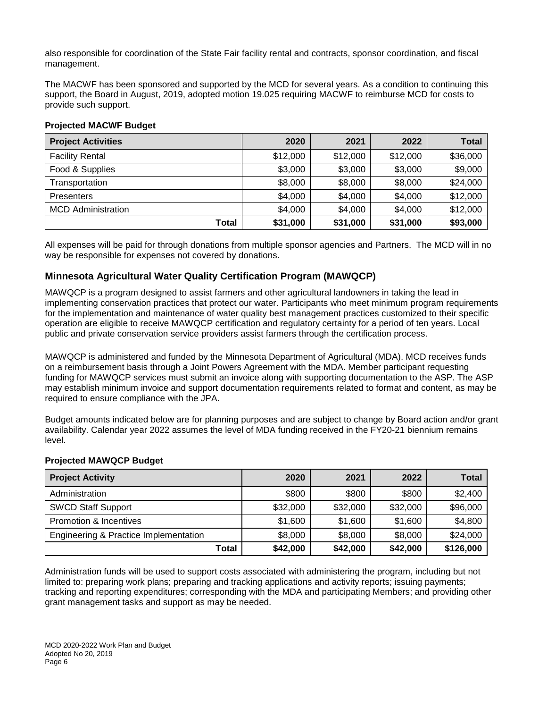also responsible for coordination of the State Fair facility rental and contracts, sponsor coordination, and fiscal management.

The MACWF has been sponsored and supported by the MCD for several years. As a condition to continuing this support, the Board in August, 2019, adopted motion 19.025 requiring MACWF to reimburse MCD for costs to provide such support.

#### **Projected MACWF Budget**

| <b>Project Activities</b> | 2020     | 2021     | 2022     | <b>Total</b> |
|---------------------------|----------|----------|----------|--------------|
| <b>Facility Rental</b>    | \$12,000 | \$12,000 | \$12,000 | \$36,000     |
| Food & Supplies           | \$3,000  | \$3,000  | \$3,000  | \$9,000      |
| Transportation            | \$8,000  | \$8,000  | \$8,000  | \$24,000     |
| <b>Presenters</b>         | \$4,000  | \$4,000  | \$4,000  | \$12,000     |
| <b>MCD</b> Administration | \$4,000  | \$4,000  | \$4,000  | \$12,000     |
| Total                     | \$31,000 | \$31,000 | \$31,000 | \$93,000     |

All expenses will be paid for through donations from multiple sponsor agencies and Partners. The MCD will in no way be responsible for expenses not covered by donations.

## **Minnesota Agricultural Water Quality Certification Program (MAWQCP)**

MAWQCP is a program designed to assist farmers and other agricultural landowners in taking the lead in implementing conservation practices that protect our water. Participants who meet minimum program requirements for the implementation and maintenance of water quality best management practices customized to their specific operation are eligible to receive MAWQCP certification and regulatory certainty for a period of ten years. Local public and private conservation service providers assist farmers through the certification process.

MAWQCP is administered and funded by the Minnesota Department of Agricultural (MDA). MCD receives funds on a reimbursement basis through a Joint Powers Agreement with the MDA. Member participant requesting funding for MAWQCP services must submit an invoice along with supporting documentation to the ASP. The ASP may establish minimum invoice and support documentation requirements related to format and content, as may be required to ensure compliance with the JPA.

Budget amounts indicated below are for planning purposes and are subject to change by Board action and/or grant availability. Calendar year 2022 assumes the level of MDA funding received in the FY20-21 biennium remains level.

#### **Projected MAWQCP Budget**

| <b>Project Activity</b>               | 2020     | 2021     | 2022     | Total     |
|---------------------------------------|----------|----------|----------|-----------|
| Administration                        | \$800    | \$800    | \$800    | \$2,400   |
| <b>SWCD Staff Support</b>             | \$32,000 | \$32,000 | \$32,000 | \$96,000  |
| Promotion & Incentives                | \$1,600  | \$1,600  | \$1,600  | \$4,800   |
| Engineering & Practice Implementation | \$8,000  | \$8,000  | \$8,000  | \$24,000  |
| Total                                 | \$42,000 | \$42,000 | \$42,000 | \$126,000 |

Administration funds will be used to support costs associated with administering the program, including but not limited to: preparing work plans; preparing and tracking applications and activity reports; issuing payments; tracking and reporting expenditures; corresponding with the MDA and participating Members; and providing other grant management tasks and support as may be needed.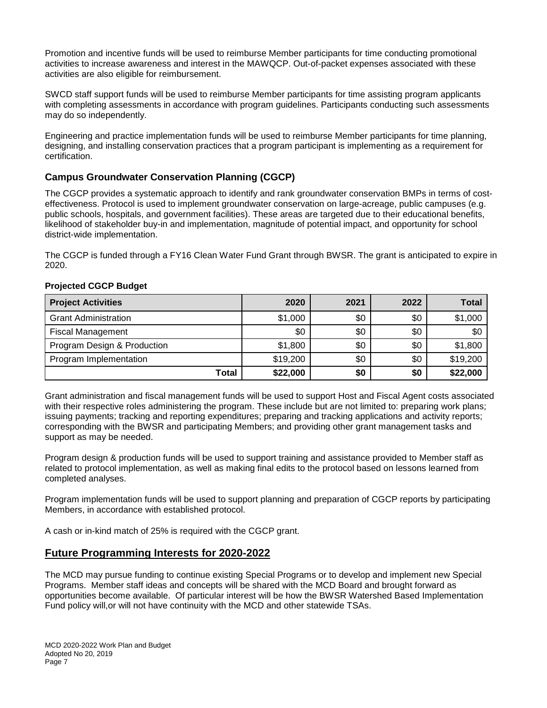Promotion and incentive funds will be used to reimburse Member participants for time conducting promotional activities to increase awareness and interest in the MAWQCP. Out-of-packet expenses associated with these activities are also eligible for reimbursement.

SWCD staff support funds will be used to reimburse Member participants for time assisting program applicants with completing assessments in accordance with program guidelines. Participants conducting such assessments may do so independently.

Engineering and practice implementation funds will be used to reimburse Member participants for time planning, designing, and installing conservation practices that a program participant is implementing as a requirement for certification.

## **Campus Groundwater Conservation Planning (CGCP)**

The CGCP provides a systematic approach to identify and rank groundwater conservation BMPs in terms of costeffectiveness. Protocol is used to implement groundwater conservation on large-acreage, public campuses (e.g. public schools, hospitals, and government facilities). These areas are targeted due to their educational benefits, likelihood of stakeholder buy-in and implementation, magnitude of potential impact, and opportunity for school district-wide implementation.

The CGCP is funded through a FY16 Clean Water Fund Grant through BWSR. The grant is anticipated to expire in 2020.

| <b>Project Activities</b>   | 2020     | 2021 | 2022 | Total    |
|-----------------------------|----------|------|------|----------|
| <b>Grant Administration</b> | \$1,000  | \$0  | \$0  | \$1,000  |
| <b>Fiscal Management</b>    | \$0      | \$0  | \$0  | \$0      |
| Program Design & Production | \$1,800  | \$0  | \$0  | \$1,800  |
| Program Implementation      | \$19,200 | \$0  | \$0  | \$19,200 |
| Total                       | \$22,000 | \$0  | \$0  | \$22,000 |

#### **Projected CGCP Budget**

Grant administration and fiscal management funds will be used to support Host and Fiscal Agent costs associated with their respective roles administering the program. These include but are not limited to: preparing work plans; issuing payments; tracking and reporting expenditures; preparing and tracking applications and activity reports; corresponding with the BWSR and participating Members; and providing other grant management tasks and support as may be needed.

Program design & production funds will be used to support training and assistance provided to Member staff as related to protocol implementation, as well as making final edits to the protocol based on lessons learned from completed analyses.

Program implementation funds will be used to support planning and preparation of CGCP reports by participating Members, in accordance with established protocol.

A cash or in-kind match of 25% is required with the CGCP grant.

## **Future Programming Interests for 2020-2022**

The MCD may pursue funding to continue existing Special Programs or to develop and implement new Special Programs. Member staff ideas and concepts will be shared with the MCD Board and brought forward as opportunities become available. Of particular interest will be how the BWSR Watershed Based Implementation Fund policy will,or will not have continuity with the MCD and other statewide TSAs.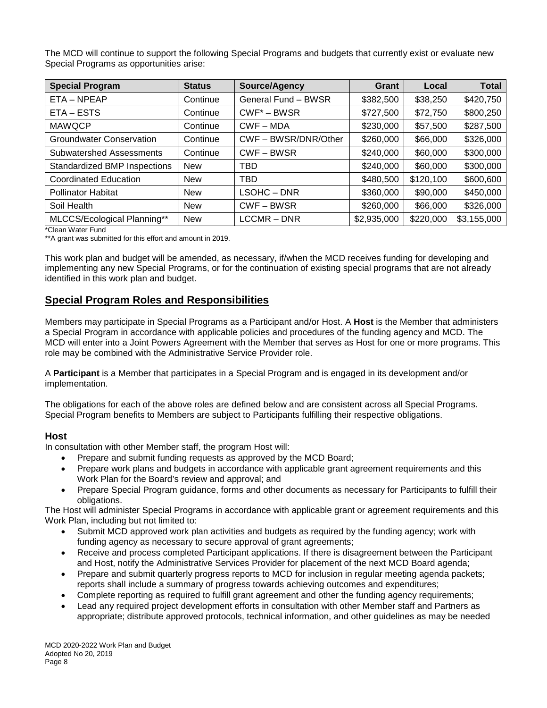The MCD will continue to support the following Special Programs and budgets that currently exist or evaluate new Special Programs as opportunities arise:

| <b>Special Program</b>          | <b>Status</b> | Source/Agency       | Grant       | Local     | <b>Total</b> |
|---------------------------------|---------------|---------------------|-------------|-----------|--------------|
| $ETA - NPEAP$                   | Continue      | General Fund - BWSR | \$382,500   | \$38,250  | \$420,750    |
| ETA-ESTS                        | Continue      | $CWF^* - BWSR$      | \$727,500   | \$72,750  | \$800,250    |
| <b>MAWQCP</b>                   | Continue      | $CWF - MDA$         | \$230,000   | \$57,500  | \$287,500    |
| <b>Groundwater Conservation</b> | Continue      | CWF-BWSR/DNR/Other  | \$260,000   | \$66,000  | \$326,000    |
| <b>Subwatershed Assessments</b> | Continue      | CWF-BWSR            | \$240,000   | \$60,000  | \$300,000    |
| Standardized BMP Inspections    | <b>New</b>    | <b>TBD</b>          | \$240,000   | \$60,000  | \$300,000    |
| Coordinated Education           | <b>New</b>    | <b>TBD</b>          | \$480,500   | \$120,100 | \$600,600    |
| <b>Pollinator Habitat</b>       | <b>New</b>    | $LSOHC - DNR$       | \$360,000   | \$90,000  | \$450,000    |
| Soil Health                     | <b>New</b>    | CWF-BWSR            | \$260,000   | \$66,000  | \$326,000    |
| MLCCS/Ecological Planning**     | <b>New</b>    | LCCMR-DNR           | \$2,935,000 | \$220,000 | \$3,155,000  |

\*Clean Water Fund

\*\*A grant was submitted for this effort and amount in 2019.

This work plan and budget will be amended, as necessary, if/when the MCD receives funding for developing and implementing any new Special Programs, or for the continuation of existing special programs that are not already identified in this work plan and budget.

# **Special Program Roles and Responsibilities**

Members may participate in Special Programs as a Participant and/or Host. A **Host** is the Member that administers a Special Program in accordance with applicable policies and procedures of the funding agency and MCD. The MCD will enter into a Joint Powers Agreement with the Member that serves as Host for one or more programs. This role may be combined with the Administrative Service Provider role.

A **Participant** is a Member that participates in a Special Program and is engaged in its development and/or implementation.

The obligations for each of the above roles are defined below and are consistent across all Special Programs. Special Program benefits to Members are subject to Participants fulfilling their respective obligations.

#### **Host**

In consultation with other Member staff, the program Host will:

- Prepare and submit funding requests as approved by the MCD Board;
- Prepare work plans and budgets in accordance with applicable grant agreement requirements and this Work Plan for the Board's review and approval; and
- Prepare Special Program guidance, forms and other documents as necessary for Participants to fulfill their obligations.

The Host will administer Special Programs in accordance with applicable grant or agreement requirements and this Work Plan, including but not limited to:

- Submit MCD approved work plan activities and budgets as required by the funding agency; work with funding agency as necessary to secure approval of grant agreements;
- Receive and process completed Participant applications. If there is disagreement between the Participant and Host, notify the Administrative Services Provider for placement of the next MCD Board agenda;
- Prepare and submit quarterly progress reports to MCD for inclusion in regular meeting agenda packets; reports shall include a summary of progress towards achieving outcomes and expenditures;
- Complete reporting as required to fulfill grant agreement and other the funding agency requirements;
- Lead any required project development efforts in consultation with other Member staff and Partners as appropriate; distribute approved protocols, technical information, and other guidelines as may be needed

MCD 2020-2022 Work Plan and Budget Adopted No 20, 2019 Page 8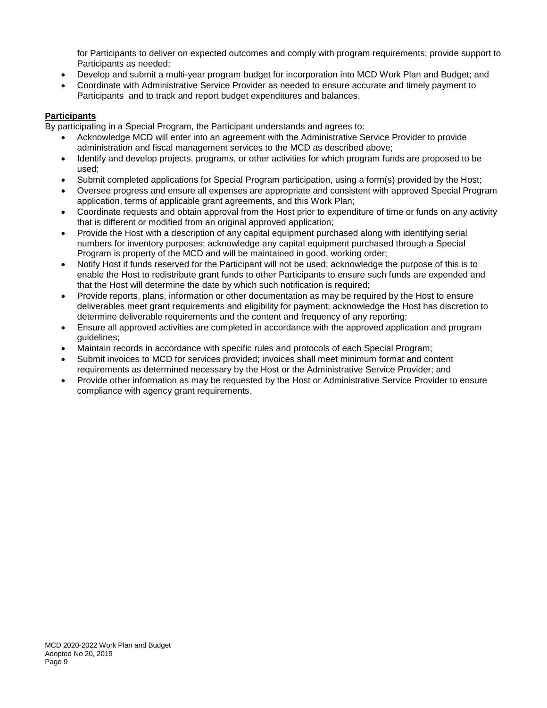for Participants to deliver on expected outcomes and comply with program requirements; provide support to Participants as needed;

- Develop and submit a multi-year program budget for incorporation into MCD Work Plan and Budget; and
- Coordinate with Administrative Service Provider as needed to ensure accurate and timely payment to Participants and to track and report budget expenditures and balances.

#### **Participants**

By participating in a Special Program, the Participant understands and agrees to:

- Acknowledge MCD will enter into an agreement with the Administrative Service Provider to provide administration and fiscal management services to the MCD as described above;
- Identify and develop projects, programs, or other activities for which program funds are proposed to be used;
- Submit completed applications for Special Program participation, using a form(s) provided by the Host;
- Oversee progress and ensure all expenses are appropriate and consistent with approved Special Program application, terms of applicable grant agreements, and this Work Plan;
- Coordinate requests and obtain approval from the Host prior to expenditure of time or funds on any activity that is different or modified from an original approved application;
- Provide the Host with a description of any capital equipment purchased along with identifying serial numbers for inventory purposes; acknowledge any capital equipment purchased through a Special Program is property of the MCD and will be maintained in good, working order;
- Notify Host if funds reserved for the Participant will not be used; acknowledge the purpose of this is to enable the Host to redistribute grant funds to other Participants to ensure such funds are expended and that the Host will determine the date by which such notification is required;
- Provide reports, plans, information or other documentation as may be required by the Host to ensure deliverables meet grant requirements and eligibility for payment; acknowledge the Host has discretion to determine deliverable requirements and the content and frequency of any reporting;
- Ensure all approved activities are completed in accordance with the approved application and program guidelines;
- Maintain records in accordance with specific rules and protocols of each Special Program;
- Submit invoices to MCD for services provided; invoices shall meet minimum format and content requirements as determined necessary by the Host or the Administrative Service Provider; and
- Provide other information as may be requested by the Host or Administrative Service Provider to ensure compliance with agency grant requirements.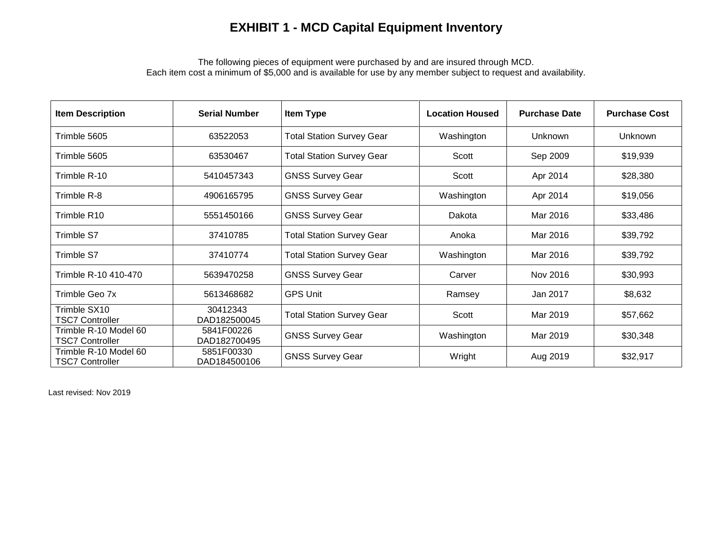# **EXHIBIT 1 - MCD Capital Equipment Inventory**

The following pieces of equipment were purchased by and are insured through MCD. Each item cost a minimum of \$5,000 and is available for use by any member subject to request and availability.

| <b>Item Description</b>                         | <b>Serial Number</b>       | Item Type                        | <b>Location Housed</b> | <b>Purchase Date</b> | <b>Purchase Cost</b> |
|-------------------------------------------------|----------------------------|----------------------------------|------------------------|----------------------|----------------------|
| Trimble 5605                                    | 63522053                   | <b>Total Station Survey Gear</b> | Washington             | Unknown              | Unknown              |
| Trimble 5605                                    | 63530467                   | <b>Total Station Survey Gear</b> | Scott                  | Sep 2009             | \$19,939             |
| Trimble R-10                                    | 5410457343                 | <b>GNSS Survey Gear</b>          | Scott                  | Apr 2014             | \$28,380             |
| Trimble R-8                                     | 4906165795                 | <b>GNSS Survey Gear</b>          | Washington             | Apr 2014             | \$19,056             |
| Trimble R10                                     | 5551450166                 | <b>GNSS Survey Gear</b>          | Dakota                 | Mar 2016             | \$33,486             |
| Trimble S7                                      | 37410785                   | <b>Total Station Survey Gear</b> | Anoka                  | Mar 2016             | \$39,792             |
| Trimble S7                                      | 37410774                   | <b>Total Station Survey Gear</b> | Washington             | Mar 2016             | \$39,792             |
| Trimble R-10 410-470                            | 5639470258                 | <b>GNSS Survey Gear</b>          | Carver                 | Nov 2016             | \$30,993             |
| Trimble Geo 7x                                  | 5613468682                 | <b>GPS Unit</b>                  | Ramsey                 | Jan 2017             | \$8,632              |
| Trimble SX10<br><b>TSC7 Controller</b>          | 30412343<br>DAD182500045   | <b>Total Station Survey Gear</b> | Scott                  | Mar 2019             | \$57,662             |
| Trimble R-10 Model 60<br><b>TSC7 Controller</b> | 5841F00226<br>DAD182700495 | <b>GNSS Survey Gear</b>          | Washington             | Mar 2019             | \$30,348             |
| Trimble R-10 Model 60<br><b>TSC7 Controller</b> | 5851F00330<br>DAD184500106 | <b>GNSS Survey Gear</b>          | Wright                 | Aug 2019             | \$32,917             |

Last revised: Nov 2019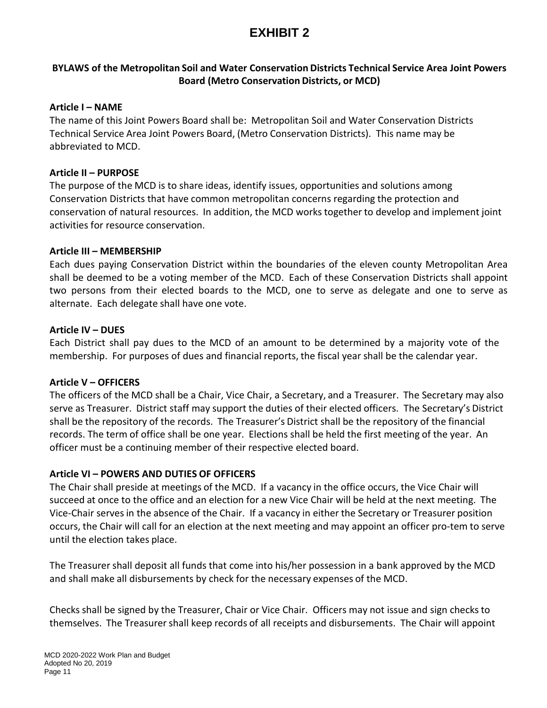# **EXHIBIT 2**

# **BYLAWS of the Metropolitan Soil and Water Conservation Districts Technical Service Area Joint Powers Board (Metro Conservation Districts, or MCD)**

### **Article I – NAME**

The name of this Joint Powers Board shall be: Metropolitan Soil and Water Conservation Districts Technical Service Area Joint Powers Board, (Metro Conservation Districts). This name may be abbreviated to MCD.

### **Article II – PURPOSE**

The purpose of the MCD is to share ideas, identify issues, opportunities and solutions among Conservation Districts that have common metropolitan concerns regarding the protection and conservation of natural resources. In addition, the MCD works together to develop and implement joint activities for resource conservation.

### **Article III – MEMBERSHIP**

Each dues paying Conservation District within the boundaries of the eleven county Metropolitan Area shall be deemed to be a voting member of the MCD. Each of these Conservation Districts shall appoint two persons from their elected boards to the MCD, one to serve as delegate and one to serve as alternate. Each delegate shall have one vote.

### **Article IV – DUES**

Each District shall pay dues to the MCD of an amount to be determined by a majority vote of the membership. For purposes of dues and financial reports, the fiscal year shall be the calendar year.

#### **Article V – OFFICERS**

The officers of the MCD shall be a Chair, Vice Chair, a Secretary, and a Treasurer. The Secretary may also serve as Treasurer. District staff may support the duties of their elected officers. The Secretary's District shall be the repository of the records. The Treasurer's District shall be the repository of the financial records. The term of office shall be one year. Elections shall be held the first meeting of the year. An officer must be a continuing member of their respective elected board.

## **Article VI – POWERS AND DUTIES OF OFFICERS**

The Chair shall preside at meetings of the MCD. If a vacancy in the office occurs, the Vice Chair will succeed at once to the office and an election for a new Vice Chair will be held at the next meeting. The Vice‐Chair serves in the absence of the Chair. If a vacancy in either the Secretary or Treasurer position occurs, the Chair will call for an election at the next meeting and may appoint an officer pro‐tem to serve until the election takes place.

The Treasurer shall deposit all funds that come into his/her possession in a bank approved by the MCD and shall make all disbursements by check for the necessary expenses of the MCD.

Checks shall be signed by the Treasurer, Chair or Vice Chair. Officers may not issue and sign checks to themselves. The Treasurer shall keep records of all receipts and disbursements. The Chair will appoint